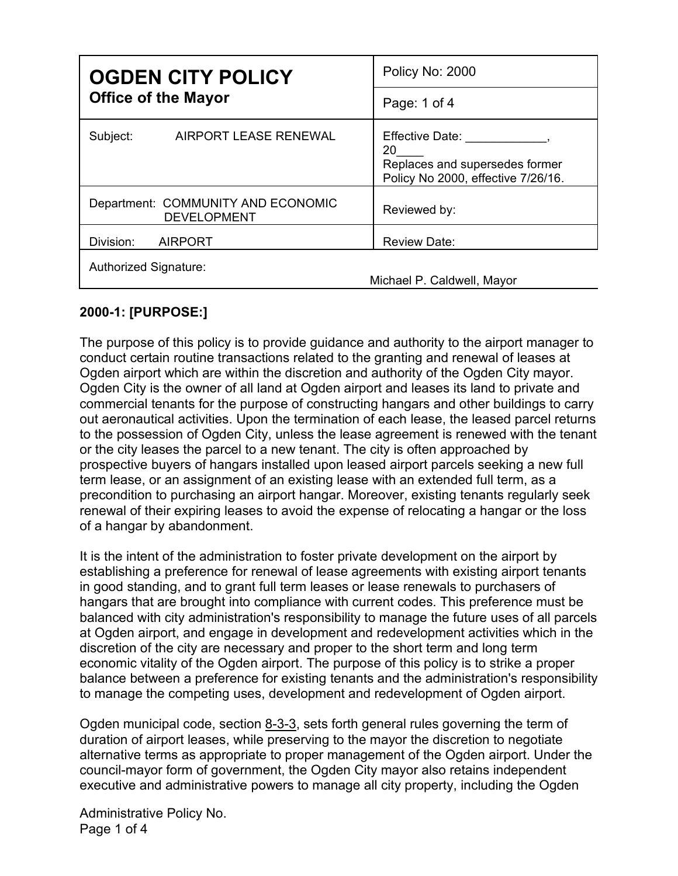| <b>OGDEN CITY POLICY</b><br><b>Office of the Mayor</b>   | Policy No: 2000                                                                                      |
|----------------------------------------------------------|------------------------------------------------------------------------------------------------------|
|                                                          | Page: 1 of 4                                                                                         |
| Subject:<br>AIRPORT LEASE RENEWAL                        | <b>Effective Date:</b><br>20<br>Replaces and supersedes former<br>Policy No 2000, effective 7/26/16. |
| Department: COMMUNITY AND ECONOMIC<br><b>DEVELOPMENT</b> | Reviewed by:                                                                                         |
| Division:<br><b>AIRPORT</b>                              | <b>Review Date:</b>                                                                                  |
| Authorized Signature:                                    | Michael P. Caldwell, Mayor                                                                           |

## **2000-1: [PURPOSE:]**

The purpose of this policy is to provide guidance and authority to the airport manager to conduct certain routine transactions related to the granting and renewal of leases at Ogden airport which are within the discretion and authority of the Ogden City mayor. Ogden City is the owner of all land at Ogden airport and leases its land to private and commercial tenants for the purpose of constructing hangars and other buildings to carry out aeronautical activities. Upon the termination of each lease, the leased parcel returns to the possession of Ogden City, unless the lease agreement is renewed with the tenant or the city leases the parcel to a new tenant. The city is often approached by prospective buyers of hangars installed upon leased airport parcels seeking a new full term lease, or an assignment of an existing lease with an extended full term, as a precondition to purchasing an airport hangar. Moreover, existing tenants regularly seek renewal of their expiring leases to avoid the expense of relocating a hangar or the loss of a hangar by abandonment.

It is the intent of the administration to foster private development on the airport by establishing a preference for renewal of lease agreements with existing airport tenants in good standing, and to grant full term leases or lease renewals to purchasers of hangars that are brought into compliance with current codes. This preference must be balanced with city administration's responsibility to manage the future uses of all parcels at Ogden airport, and engage in development and redevelopment activities which in the discretion of the city are necessary and proper to the short term and long term economic vitality of the Ogden airport. The purpose of this policy is to strike a proper balance between a preference for existing tenants and the administration's responsibility to manage the competing uses, development and redevelopment of Ogden airport.

Ogden municipal code, section [8-3-3,](https://codelibrary.amlegal.com/codes/ogdencityut/latest/ogdencity_admin_ut/#JD_8-3-3) sets forth general rules governing the term of duration of airport leases, while preserving to the mayor the discretion to negotiate alternative terms as appropriate to proper management of the Ogden airport. Under the council-mayor form of government, the Ogden City mayor also retains independent executive and administrative powers to manage all city property, including the Ogden

Administrative Policy No. Page 1 of 4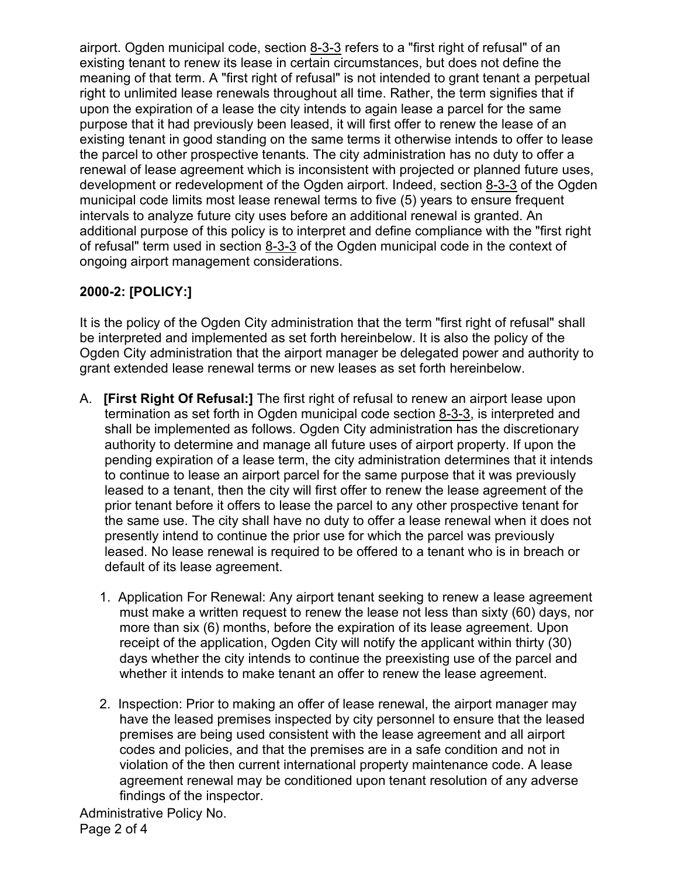airport. Ogden municipal code, section  $8-3-3$  refers to a "first right of refusal" of an existing tenant to renew its lease in certain circumstances, but does not define the meaning of that term. A "first right of refusal" is not intended to grant tenant a perpetual right to unlimited lease renewals throughout all time. Rather, the term signifies that if upon the expiration of a lease the city intends to again lease a parcel for the same purpose that it had previously been leased, it will first offer to renew the lease of an existing tenant in good standing on the same terms it otherwise intends to offer to lease the parcel to other prospective tenants. The city administration has no duty to offer a renewal of lease agreement which is inconsistent with projected or planned future uses, development or redevelopment of the Ogden airport. Indeed, section [8-3-3](https://codelibrary.amlegal.com/codes/ogdencityut/latest/ogdencity_admin_ut/#JD_8-3-3) of the Ogden municipal code limits most lease renewal terms to five (5) years to ensure frequent intervals to analyze future city uses before an additional renewal is granted. An additional purpose of this policy is to interpret and define compliance with the "first right of refusal" term used in section [8-3-3](https://codelibrary.amlegal.com/codes/ogdencityut/latest/ogdencity_admin_ut/#JD_8-3-3) of the Ogden municipal code in the context of ongoing airport management considerations.

## **2000-2: [POLICY:]**

It is the policy of the Ogden City administration that the term "first right of refusal" shall be interpreted and implemented as set forth hereinbelow. It is also the policy of the Ogden City administration that the airport manager be delegated power and authority to grant extended lease renewal terms or new leases as set forth hereinbelow.

- A. **[First Right Of Refusal:]** The first right of refusal to renew an airport lease upon termination as set forth in Ogden municipal code section [8-3-3,](https://codelibrary.amlegal.com/codes/ogdencityut/latest/ogdencity_admin_ut/#JD_8-3-3) is interpreted and shall be implemented as follows. Ogden City administration has the discretionary authority to determine and manage all future uses of airport property. If upon the pending expiration of a lease term, the city administration determines that it intends to continue to lease an airport parcel for the same purpose that it was previously leased to a tenant, then the city will first offer to renew the lease agreement of the prior tenant before it offers to lease the parcel to any other prospective tenant for the same use. The city shall have no duty to offer a lease renewal when it does not presently intend to continue the prior use for which the parcel was previously leased. No lease renewal is required to be offered to a tenant who is in breach or default of its lease agreement.
	- 1. Application For Renewal: Any airport tenant seeking to renew a lease agreement must make a written request to renew the lease not less than sixty (60) days, nor more than six (6) months, before the expiration of its lease agreement. Upon receipt of the application, Ogden City will notify the applicant within thirty (30) days whether the city intends to continue the preexisting use of the parcel and whether it intends to make tenant an offer to renew the lease agreement.
	- 2. Inspection: Prior to making an offer of lease renewal, the airport manager may have the leased premises inspected by city personnel to ensure that the leased premises are being used consistent with the lease agreement and all airport codes and policies, and that the premises are in a safe condition and not in violation of the then current international property maintenance code. A lease agreement renewal may be conditioned upon tenant resolution of any adverse findings of the inspector.

Administrative Policy No. Page 2 of 4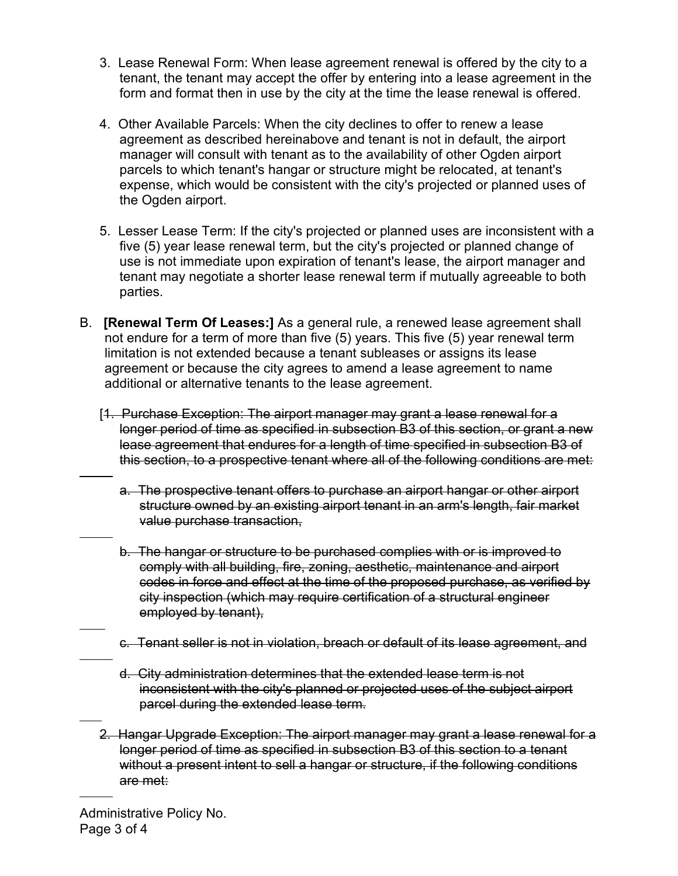- 3. Lease Renewal Form: When lease agreement renewal is offered by the city to a tenant, the tenant may accept the offer by entering into a lease agreement in the form and format then in use by the city at the time the lease renewal is offered.
- 4. Other Available Parcels: When the city declines to offer to renew a lease agreement as described hereinabove and tenant is not in default, the airport manager will consult with tenant as to the availability of other Ogden airport parcels to which tenant's hangar or structure might be relocated, at tenant's expense, which would be consistent with the city's projected or planned uses of the Ogden airport.
- 5. Lesser Lease Term: If the city's projected or planned uses are inconsistent with a five (5) year lease renewal term, but the city's projected or planned change of use is not immediate upon expiration of tenant's lease, the airport manager and tenant may negotiate a shorter lease renewal term if mutually agreeable to both parties.
- B. **[Renewal Term Of Leases:]** As a general rule, a renewed lease agreement shall not endure for a term of more than five (5) years. This five (5) year renewal term limitation is not extended because a tenant subleases or assigns its lease agreement or because the city agrees to amend a lease agreement to name additional or alternative tenants to the lease agreement.
	- [1. Purchase Exception: The airport manager may grant a lease renewal for a longer period of time as specified in subsection B3 of this section, or grant a new lease agreement that endures for a length of time specified in subsection B3 of this section, to a prospective tenant where all of the following conditions are met:
		- a. The prospective tenant offers to purchase an airport hangar or other airport structure owned by an existing airport tenant in an arm's length, fair market value purchase transaction,
		- b. The hangar or structure to be purchased complies with or is improved to comply with all building, fire, zoning, aesthetic, maintenance and airport codes in force and effect at the time of the proposed purchase, as verified by city inspection (which may require certification of a structural engineer employed by tenant),
		- c. Tenant seller is not in violation, breach or default of its lease agreement, and
		- d. City administration determines that the extended lease term is not inconsistent with the city's planned or projected uses of the subject airport parcel during the extended lease term.
	- 2. Hangar Upgrade Exception: The airport manager may grant a lease renewal for a longer period of time as specified in subsection B3 of this section to a tenant without a present intent to sell a hangar or structure, if the following conditions are met:

 $\overline{a}$ 

 $\overline{a}$ 

 $\overline{a}$ 

 $\overline{a}$ 

 $\overline{a}$ 

 $\overline{a}$